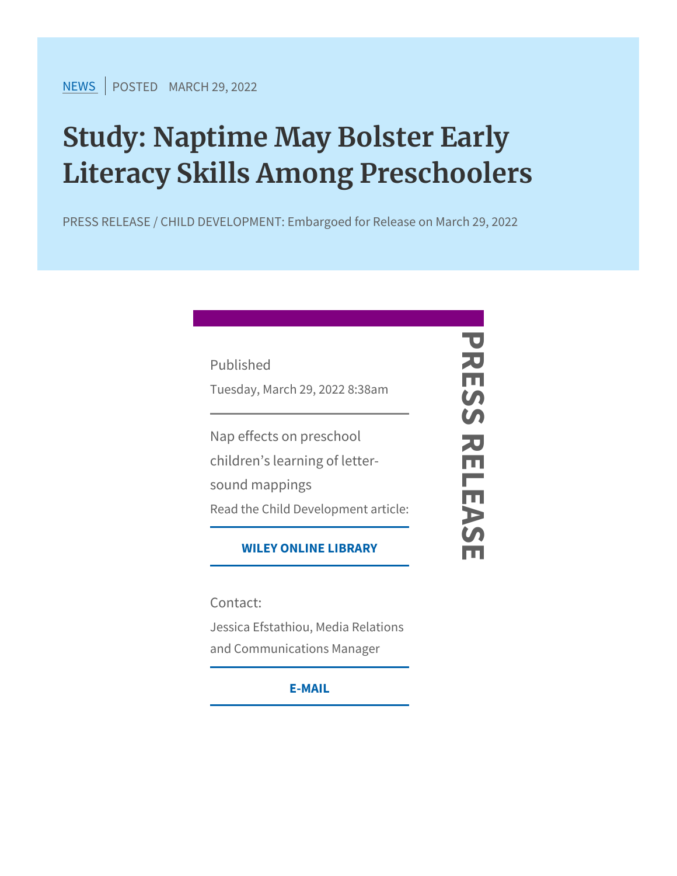$NEN$ SPOSTEMDARCH 29, 2022

## Study: Naptime May Bolster Earl Literacy Skills Among Preschool

PRESS RELEASE / CHILD DEVELOPMENT: Embargoed for Release

| Published<br>Tuesday, March 29, 2022 8.98am                                                                         |
|---------------------------------------------------------------------------------------------------------------------|
| Nap effects on preschool<br>children s learning of letter-<br>sound mappings<br>Read the Child Development article: |
| WILEY ONLINE LIBRARY                                                                                                |
| Contact:<br>Jessica Efstathiou, Media Relations<br>and Communications Manages                                       |
| $E - M AIL$                                                                                                         |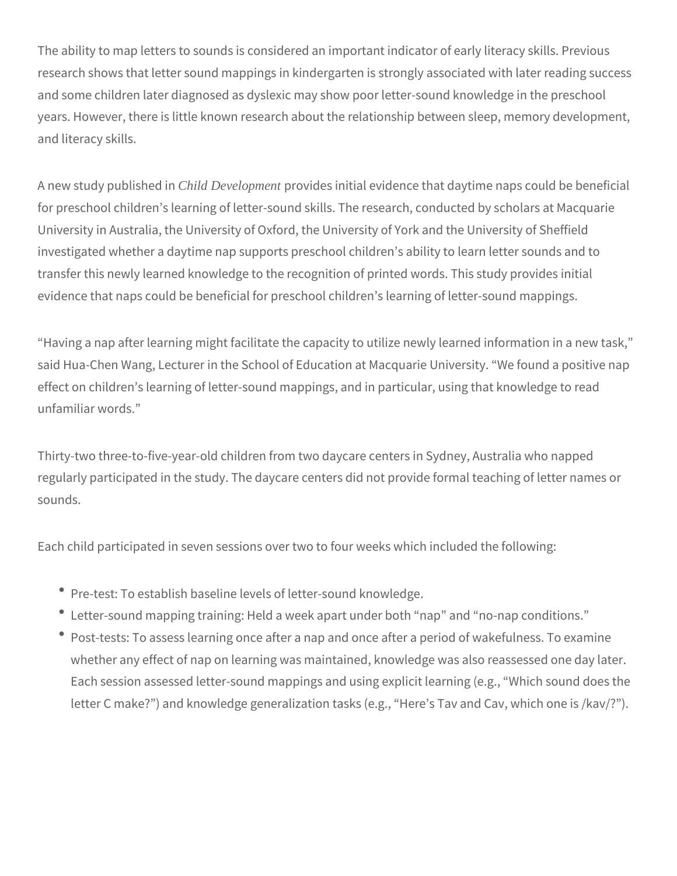The ability to map letters to sounds is considered an important indicator of early literacy skills. Previous research shows that letter sound mappings in kindergarten is strongly associated with later reading success and some children later diagnosed as dyslexic may show poor letter-sound knowledge in the preschool years. However, there is little known research about the relationship between sleep, memory development, and literacy skills.

A new study published in *Child Development* provides initial evidence that daytime naps could be beneficial for preschool children's learning of letter-sound skills. The research, conducted by scholars at Macquarie University in Australia, the University of Oxford, the University of York and the University of Sheffield investigated whether a daytime nap supports preschool children's ability to learn letter sounds and to transfer this newly learned knowledge to the recognition of printed words. This study provides initial evidence that naps could be beneficial for preschool children's learning of letter-sound mappings.

"Having a nap after learning might facilitate the capacity to utilize newly learned information in a new task," said Hua-Chen Wang, Lecturer in the School of Education at Macquarie University. "We found a positive nap effect on children's learning of letter-sound mappings, and in particular, using that knowledge to read unfamiliar words."

Thirty-two three-to-five-year-old children from two daycare centers in Sydney, Australia who napped regularly participated in the study. The daycare centers did not provide formal teaching of letter names or sounds.

Each child participated in seven sessions over two to four weeks which included the following:

- Pre-test: To establish baseline levels of letter-sound knowledge.
- Letter-sound mapping training: Held a week apart under both "nap" and "no-nap conditions."
- Post-tests: To assess learning once after a nap and once after a period of wakefulness. To examine whether any effect of nap on learning was maintained, knowledge was also reassessed one day later. Each session assessed letter-sound mappings and using explicit learning (e.g., "Which sound does the letter C make?") and knowledge generalization tasks (e.g., "Here's Tav and Cav, which one is /kav/?").